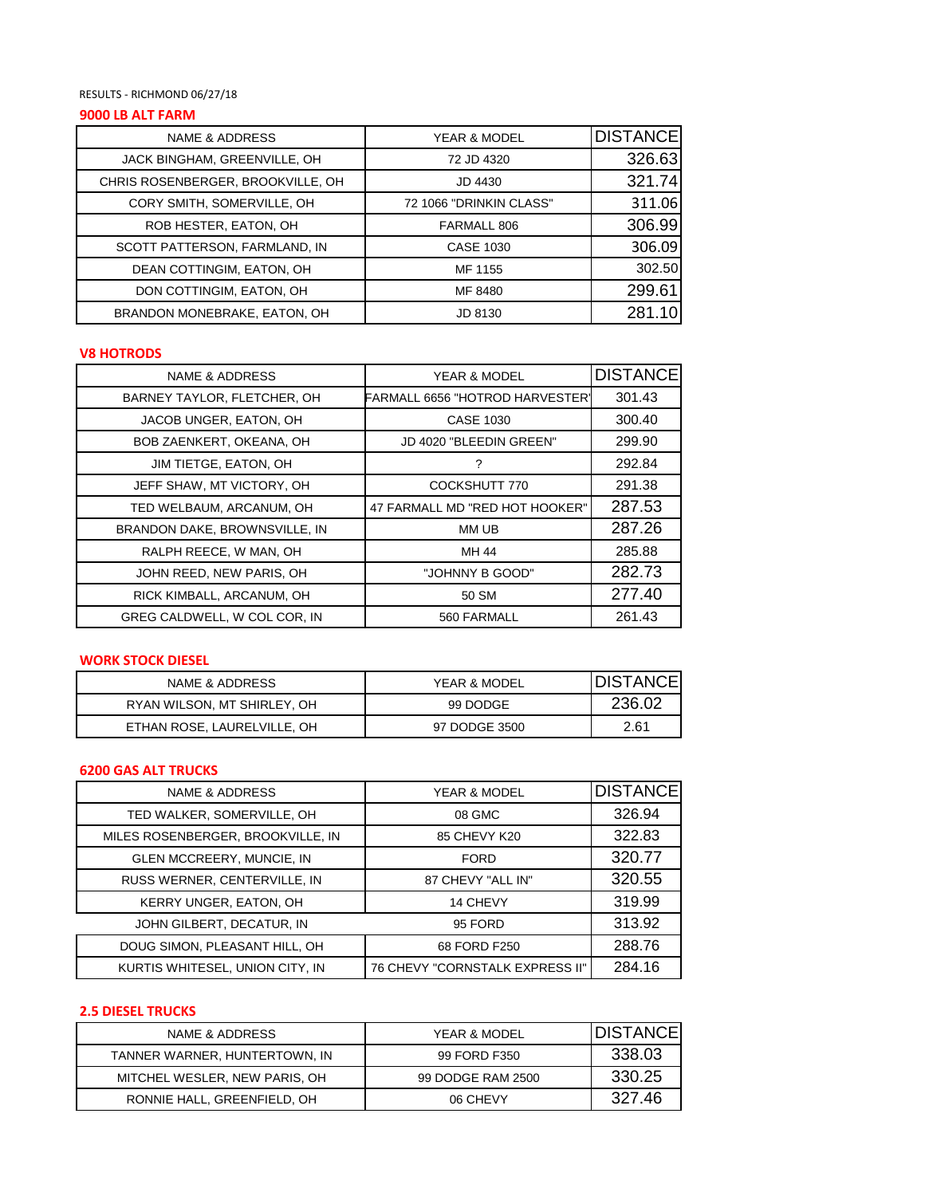### RESULTS - RICHMOND 06/27/18

# **9000 LB ALT FARM**

| NAME & ADDRESS                    | YEAR & MODEL            | <b>DISTANCE</b> |
|-----------------------------------|-------------------------|-----------------|
| JACK BINGHAM, GREENVILLE, OH      | 72 JD 4320              | 326.63          |
| CHRIS ROSENBERGER, BROOKVILLE, OH | JD 4430                 | 321.74          |
| CORY SMITH, SOMERVILLE, OH        | 72 1066 "DRINKIN CLASS" | 311.06          |
| ROB HESTER, EATON, OH             | FARMALL 806             | 306.99          |
| SCOTT PATTERSON, FARMLAND, IN     | CASE 1030               | 306.09          |
| DEAN COTTINGIM, EATON, OH         | MF 1155                 | 302.50          |
| DON COTTINGIM, EATON, OH          | MF 8480                 | 299.61          |
| BRANDON MONEBRAKE, EATON, OH      | JD 8130                 |                 |

# **V8 HOTRODS**

| NAME & ADDRESS                | YEAR & MODEL                           | <b>DISTANCE</b> |
|-------------------------------|----------------------------------------|-----------------|
| BARNEY TAYLOR, FLETCHER, OH   | <b>FARMALL 6656 "HOTROD HARVESTER"</b> | 301.43          |
| JACOB UNGER, EATON, OH        | CASE 1030                              | 300.40          |
| BOB ZAENKERT, OKEANA, OH      | JD 4020 "BLEEDIN GREEN"                | 299.90          |
| JIM TIETGE, EATON, OH         | ?                                      | 292.84          |
| JEFF SHAW, MT VICTORY, OH     | COCKSHUTT 770                          | 291.38          |
| TED WELBAUM, ARCANUM, OH      | 47 FARMALL MD "RED HOT HOOKER"         | 287.53          |
| BRANDON DAKE, BROWNSVILLE, IN | MM UB                                  | 287.26          |
| RALPH REECE, W MAN, OH        | MH 44                                  | 285.88          |
| JOHN REED, NEW PARIS, OH      | "JOHNNY B GOOD"                        | 282.73          |
| RICK KIMBALL, ARCANUM, OH     | 50 SM                                  | 277.40          |
| GREG CALDWELL, W COL COR, IN  | 560 FARMALL                            | 261.43          |

## **WORK STOCK DIESEL**

| NAME & ADDRESS              | YEAR & MODEL  | <b>IDISTANCE</b> |
|-----------------------------|---------------|------------------|
| RYAN WILSON, MT SHIRLEY, OH | 99 DODGE      | 236.02           |
| ETHAN ROSE, LAURELVILLE, OH | 97 DODGE 3500 | 2.61             |

#### **6200 GAS ALT TRUCKS**

| NAME & ADDRESS                    | YEAR & MODEL                    | <b>DISTANCE</b> |
|-----------------------------------|---------------------------------|-----------------|
| TED WALKER, SOMERVILLE, OH        | 08 GMC                          | 326.94          |
| MILES ROSENBERGER, BROOKVILLE, IN | 85 CHEVY K20                    | 322.83          |
| GLEN MCCREERY, MUNCIE, IN         | <b>FORD</b>                     | 320.77          |
| RUSS WERNER, CENTERVILLE, IN      | 87 CHEVY "ALL IN"               | 320.55          |
| <b>KERRY UNGER, EATON, OH</b>     | 14 CHEVY                        | 319.99          |
| JOHN GILBERT, DECATUR, IN         | 95 FORD                         | 313.92          |
| DOUG SIMON, PLEASANT HILL, OH     | 68 FORD F250                    | 288.76          |
| KURTIS WHITESEL, UNION CITY, IN   | 76 CHEVY "CORNSTALK EXPRESS II" | 284.16          |

# **2.5 DIESEL TRUCKS**

| NAME & ADDRESS                | YEAR & MODEL      | <b>IDISTANCE</b> |
|-------------------------------|-------------------|------------------|
| TANNER WARNER, HUNTERTOWN, IN | 99 FORD F350      | 338.03           |
| MITCHEL WESLER, NEW PARIS, OH | 99 DODGE RAM 2500 | 330.25           |
| RONNIE HALL, GREENFIELD, OH   | 06 CHEVY          | 327.46           |